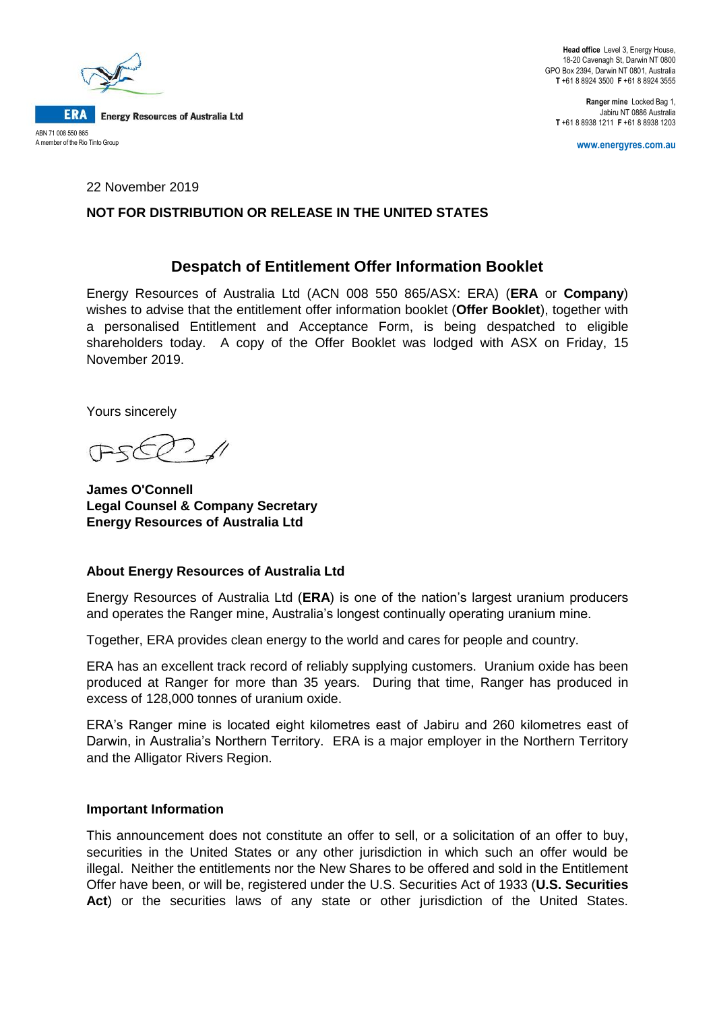

**Head office** Level 3, Energy House, 18-20 Cavenagh St, Darwin NT 0800 GPO Box 2394, Darwin NT 0801, Australia **T** +61 8 8924 3500 **F** +61 8 8924 3555

**Ranger mine** Locked Bag 1, Jabiru NT 0886 Australia **T** +61 8 8938 1211 **F** +61 8 8938 1203

**www.energyres.com.au**

22 November 2019

### **NOT FOR DISTRIBUTION OR RELEASE IN THE UNITED STATES**

## **Despatch of Entitlement Offer Information Booklet**

Energy Resources of Australia Ltd (ACN 008 550 865/ASX: ERA) (**ERA** or **Company**) wishes to advise that the entitlement offer information booklet (**Offer Booklet**), together with a personalised Entitlement and Acceptance Form, is being despatched to eligible shareholders today. A copy of the Offer Booklet was lodged with ASX on Friday, 15 November 2019.

Yours sincerely

**James O'Connell Legal Counsel & Company Secretary Energy Resources of Australia Ltd**

#### **About Energy Resources of Australia Ltd**

Energy Resources of Australia Ltd (**ERA**) is one of the nation's largest uranium producers and operates the Ranger mine, Australia's longest continually operating uranium mine.

Together, ERA provides clean energy to the world and cares for people and country.

ERA has an excellent track record of reliably supplying customers. Uranium oxide has been produced at Ranger for more than 35 years. During that time, Ranger has produced in excess of 128,000 tonnes of uranium oxide.

ERA's Ranger mine is located eight kilometres east of Jabiru and 260 kilometres east of Darwin, in Australia's Northern Territory. ERA is a major employer in the Northern Territory and the Alligator Rivers Region.

#### **Important Information**

This announcement does not constitute an offer to sell, or a solicitation of an offer to buy, securities in the United States or any other jurisdiction in which such an offer would be illegal. Neither the entitlements nor the New Shares to be offered and sold in the Entitlement Offer have been, or will be, registered under the U.S. Securities Act of 1933 (**U.S. Securities Act**) or the securities laws of any state or other jurisdiction of the United States.